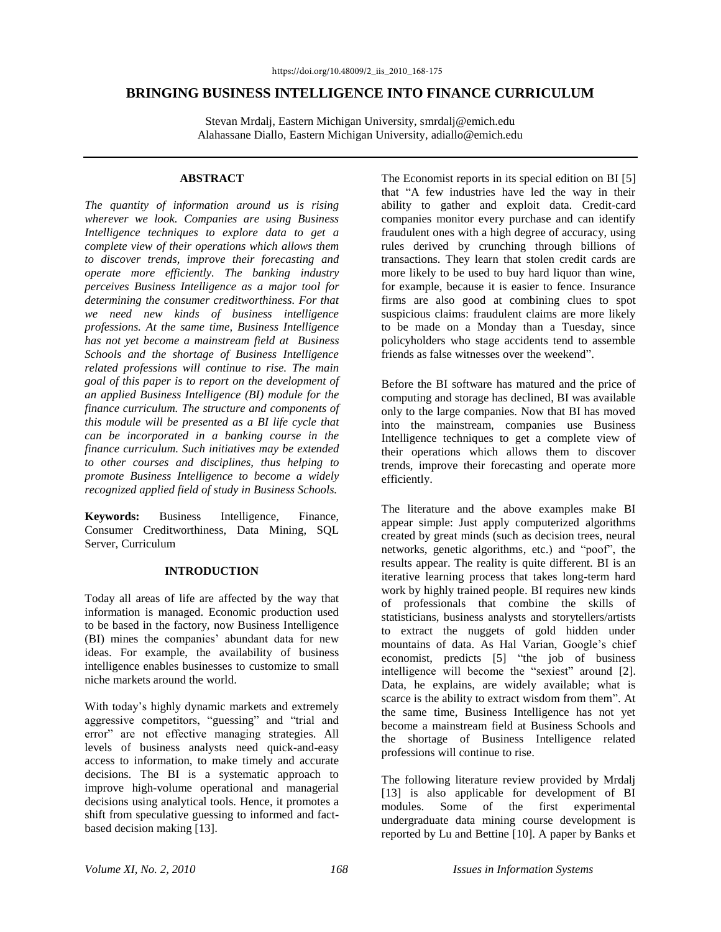# **BRINGING BUSINESS INTELLIGENCE INTO FINANCE CURRICULUM**

Stevan Mrdalj, Eastern Michigan University, smrdalj@emich.edu Alahassane Diallo, Eastern Michigan University, adiallo@emich.edu

## **ABSTRACT**

*The quantity of information around us is rising wherever we look. Companies are using Business Intelligence techniques to explore data to get a complete view of their operations which allows them to discover trends, improve their forecasting and operate more efficiently. The banking industry perceives Business Intelligence as a major tool for determining the consumer creditworthiness. For that we need new kinds of business intelligence professions. At the same time, Business Intelligence has not yet become a mainstream field at Business Schools and the shortage of Business Intelligence related professions will continue to rise. The main goal of this paper is to report on the development of an applied Business Intelligence (BI) module for the finance curriculum. The structure and components of this module will be presented as a BI life cycle that can be incorporated in a banking course in the finance curriculum. Such initiatives may be extended to other courses and disciplines, thus helping to promote Business Intelligence to become a widely recognized applied field of study in Business Schools.*

**Keywords:** Business Intelligence, Finance, Consumer Creditworthiness, Data Mining, SQL Server, Curriculum

# **INTRODUCTION**

Today all areas of life are affected by the way that information is managed. Economic production used to be based in the factory, now Business Intelligence (BI) mines the companies' abundant data for new ideas. For example, the availability of business intelligence enables businesses to customize to small niche markets around the world.

With today's highly dynamic markets and extremely aggressive competitors, "guessing" and "trial and error" are not effective managing strategies. All levels of business analysts need quick-and-easy access to information, to make timely and accurate decisions. The BI is a systematic approach to improve high-volume operational and managerial decisions using analytical tools. Hence, it promotes a shift from speculative guessing to informed and factbased decision making [13].

The Economist reports in its special edition on BI [5] that "A few industries have led the way in their ability to gather and exploit data. Credit-card companies monitor every purchase and can identify fraudulent ones with a high degree of accuracy, using rules derived by crunching through billions of transactions. They learn that stolen credit cards are more likely to be used to buy hard liquor than wine, for example, because it is easier to fence. Insurance firms are also good at combining clues to spot suspicious claims: fraudulent claims are more likely to be made on a Monday than a Tuesday, since policyholders who stage accidents tend to assemble friends as false witnesses over the weekend".

Before the BI software has matured and the price of computing and storage has declined, BI was available only to the large companies. Now that BI has moved into the mainstream, companies use Business Intelligence techniques to get a complete view of their operations which allows them to discover trends, improve their forecasting and operate more efficiently.

The literature and the above examples make BI appear simple: Just apply computerized algorithms created by great minds (such as decision trees, neural networks, genetic algorithms, etc.) and "poof", the results appear. The reality is quite different. BI is an iterative learning process that takes long-term hard work by highly trained people. BI requires new kinds of professionals that combine the skills of statisticians, business analysts and storytellers/artists to extract the nuggets of gold hidden under mountains of data. As Hal Varian, Google's chief economist, predicts [5] "the job of business intelligence will become the "sexiest" around [2]. Data, he explains, are widely available; what is scarce is the ability to extract wisdom from them". At the same time, Business Intelligence has not yet become a mainstream field at Business Schools and the shortage of Business Intelligence related professions will continue to rise.

The following literature review provided by Mrdalj [13] is also applicable for development of BI modules. Some of the first experimental undergraduate data mining course development is reported by Lu and Bettine [10]. A paper by Banks et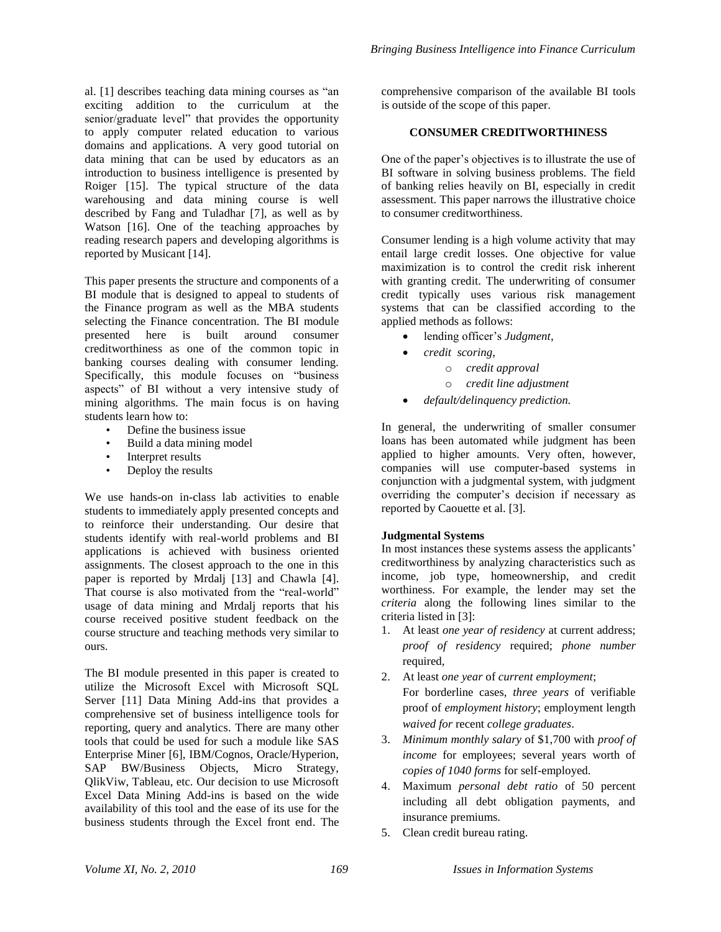al. [1] describes teaching data mining courses as "an exciting addition to the curriculum at the senior/graduate level" that provides the opportunity to apply computer related education to various domains and applications. A very good tutorial on data mining that can be used by educators as an introduction to business intelligence is presented by Roiger [15]. The typical structure of the data warehousing and data mining course is well described by Fang and Tuladhar [7], as well as by Watson [16]. One of the teaching approaches by reading research papers and developing algorithms is reported by Musicant [14].

This paper presents the structure and components of a BI module that is designed to appeal to students of the Finance program as well as the MBA students selecting the Finance concentration. The BI module presented here is built around consumer creditworthiness as one of the common topic in banking courses dealing with consumer lending. Specifically, this module focuses on "business aspects" of BI without a very intensive study of mining algorithms. The main focus is on having students learn how to:

- Define the business issue
- Build a data mining model
- Interpret results
- Deploy the results

We use hands-on in-class lab activities to enable students to immediately apply presented concepts and to reinforce their understanding. Our desire that students identify with real-world problems and BI applications is achieved with business oriented assignments. The closest approach to the one in this paper is reported by Mrdalj [13] and Chawla [4]. That course is also motivated from the "real-world" usage of data mining and Mrdalj reports that his course received positive student feedback on the course structure and teaching methods very similar to ours.

The BI module presented in this paper is created to utilize the Microsoft Excel with Microsoft SQL Server [11] Data Mining Add-ins that provides a comprehensive set of business intelligence tools for reporting, query and analytics. There are many other tools that could be used for such a module like SAS Enterprise Miner [6], IBM/Cognos, Oracle/Hyperion, SAP BW/Business Objects, Micro Strategy, QlikViw, Tableau, etc. Our decision to use Microsoft Excel Data Mining Add-ins is based on the wide availability of this tool and the ease of its use for the business students through the Excel front end. The

comprehensive comparison of the available BI tools is outside of the scope of this paper.

## **CONSUMER CREDITWORTHINESS**

One of the paper's objectives is to illustrate the use of BI software in solving business problems. The field of banking relies heavily on BI, especially in credit assessment. This paper narrows the illustrative choice to consumer creditworthiness.

Consumer lending is a high volume activity that may entail large credit losses. One objective for value maximization is to control the credit risk inherent with granting credit. The underwriting of consumer credit typically uses various risk management systems that can be classified according to the applied methods as follows:

- lending officer's *Judgment*,
- *credit scoring*,
	- o *credit approval*
	- o *credit line adjustment*
- *default/delinquency prediction.*

In general, the underwriting of smaller consumer loans has been automated while judgment has been applied to higher amounts. Very often, however, companies will use computer-based systems in conjunction with a judgmental system, with judgment overriding the computer's decision if necessary as reported by Caouette et al. [3].

## **Judgmental Systems**

In most instances these systems assess the applicants' creditworthiness by analyzing characteristics such as income, job type, homeownership, and credit worthiness. For example, the lender may set the *criteria* along the following lines similar to the criteria listed in [3]:

- 1. At least *one year of residency* at current address; *proof of residency* required; *phone number*  required,
- 2. At least *one year* of *current employment*; For borderline cases, *three years* of verifiable proof of *employment history*; employment length *waived for* recent *college graduates*.
- 3. *Minimum monthly salary* of \$1,700 with *proof of income* for employees; several years worth of *copies of 1040 forms* for self-employed.
- 4. Maximum *personal debt ratio* of 50 percent including all debt obligation payments, and insurance premiums.
- 5. Clean credit bureau rating.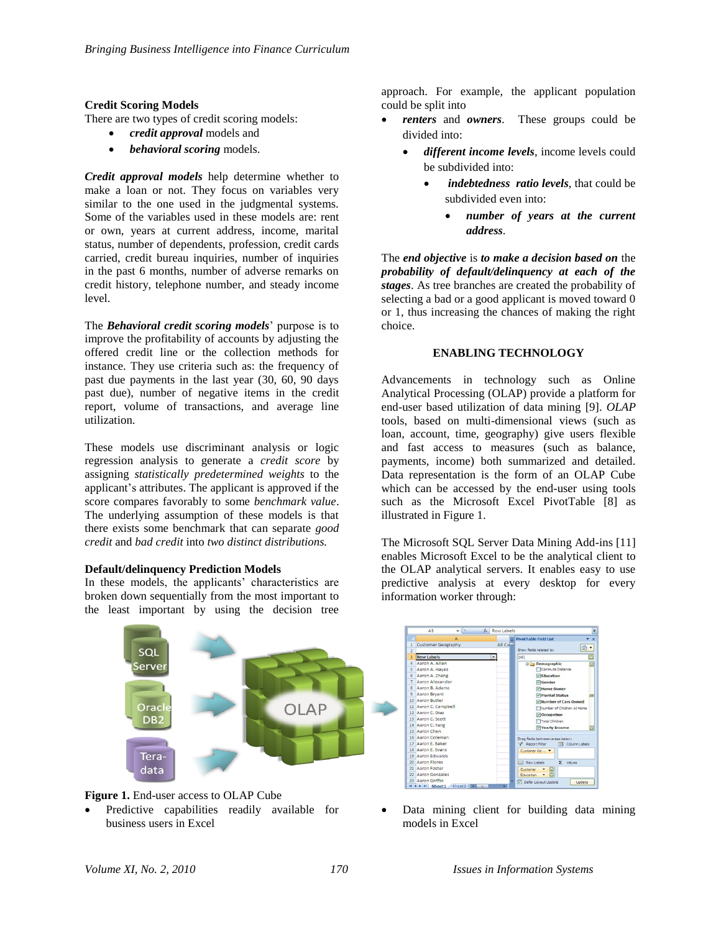### **Credit Scoring Models**

There are two types of credit scoring models:

- *credit approval* models and
- *behavioral scoring* models.

*Credit approval models* help determine whether to make a loan or not. They focus on variables very similar to the one used in the judgmental systems. Some of the variables used in these models are: rent or own, years at current address, income, marital status, number of dependents, profession, credit cards carried, credit bureau inquiries, number of inquiries in the past 6 months, number of adverse remarks on credit history, telephone number, and steady income level.

The *Behavioral credit scoring models*' purpose is to improve the profitability of accounts by adjusting the offered credit line or the collection methods for instance. They use criteria such as: the frequency of past due payments in the last year (30, 60, 90 days past due), number of negative items in the credit report, volume of transactions, and average line utilization.

These models use discriminant analysis or logic regression analysis to generate a *credit score* by assigning *statistically predetermined weights* to the applicant's attributes. The applicant is approved if the score compares favorably to some *benchmark value*. The underlying assumption of these models is that there exists some benchmark that can separate *good credit* and *bad credit* into *two distinct distributions.*

#### **Default/delinquency Prediction Models**

In these models, the applicants' characteristics are broken down sequentially from the most important to the least important by using the decision tree

approach. For example, the applicant population could be split into

- *renters* and *owners*. These groups could be divided into:
	- *different income levels*, income levels could be subdivided into:
		- *indebtedness ratio levels*, that could be subdivided even into:
			- *number of years at the current address*.

The *end objective* is *to make a decision based on* the *probability of default/delinquency at each of the stages*. As tree branches are created the probability of selecting a bad or a good applicant is moved toward 0 or 1, thus increasing the chances of making the right choice.

### **ENABLING TECHNOLOGY**

Advancements in technology such as Online Analytical Processing (OLAP) provide a platform for end-user based utilization of data mining [9]. *OLAP*  tools, based on multi-dimensional views (such as loan, account, time, geography) give users flexible and fast access to measures (such as balance, payments, income) both summarized and detailed. Data representation is the form of an OLAP Cube which can be accessed by the end-user using tools such as the Microsoft Excel PivotTable [8] as illustrated in Figure 1.

The Microsoft SQL Server Data Mining Add-ins [11] enables Microsoft Excel to be the analytical client to the OLAP analytical servers. It enables easy to use predictive analysis at every desktop for every information worker through:





 Predictive capabilities readily available for business users in Excel



 Data mining client for building data mining models in Excel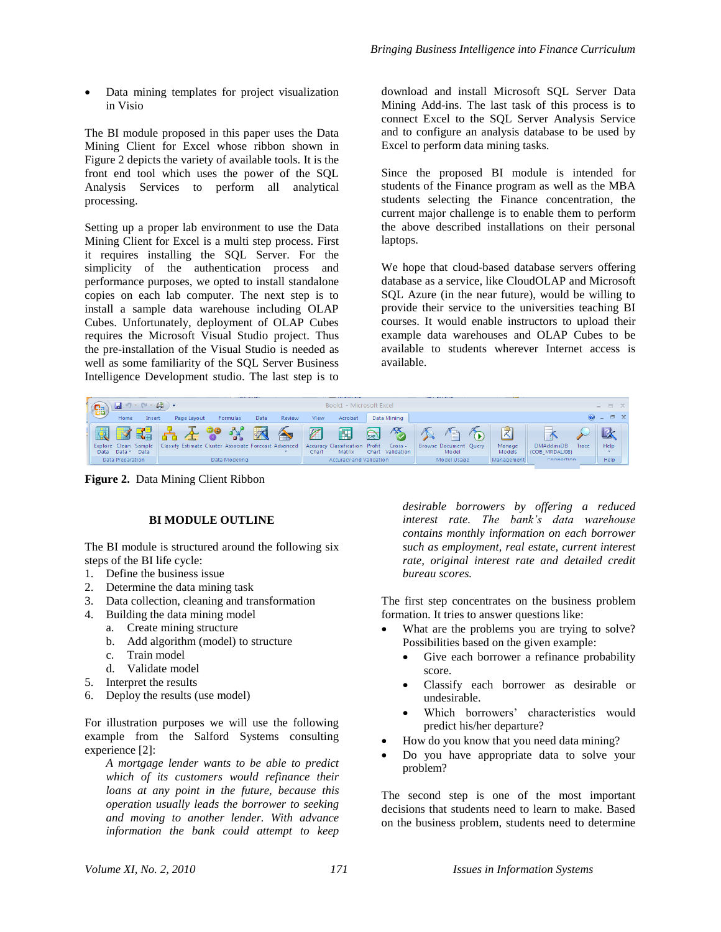Data mining templates for project visualization in Visio

The BI module proposed in this paper uses the Data Mining Client for Excel whose ribbon shown in Figure 2 depicts the variety of available tools. It is the front end tool which uses the power of the SQL Analysis Services to perform all analytical processing.

Setting up a proper lab environment to use the Data Mining Client for Excel is a multi step process. First it requires installing the SQL Server. For the simplicity of the authentication process and performance purposes, we opted to install standalone copies on each lab computer. The next step is to install a sample data warehouse including OLAP Cubes. Unfortunately, deployment of OLAP Cubes requires the Microsoft Visual Studio project. Thus the pre-installation of the Visual Studio is needed as well as some familiarity of the SQL Server Business Intelligence Development studio. The last step is to

download and install Microsoft SQL Server Data Mining Add-ins. The last task of this process is to connect Excel to the SQL Server Analysis Service and to configure an analysis database to be used by Excel to perform data mining tasks.

Since the proposed BI module is intended for students of the Finance program as well as the MBA students selecting the Finance concentration, the current major challenge is to enable them to perform the above described installations on their personal laptops.

We hope that cloud-based database servers offering database as a service, like CloudOLAP and Microsoft SQL Azure (in the near future), would be willing to provide their service to the universities teaching BI courses. It would enable instructors to upload their example data warehouses and OLAP Cubes to be available to students wherever Internet access is available.



**Figure 2.** Data Mining Client Ribbon

# **BI MODULE OUTLINE**

The BI module is structured around the following six steps of the BI life cycle:

- 1. Define the business issue
- 2. Determine the data mining task
- 3. Data collection, cleaning and transformation
- 4. Building the data mining model
	- a. Create mining structure
	- b. Add algorithm (model) to structure
	- c. Train model
	- d. Validate model
- 5. Interpret the results
- 6. Deploy the results (use model)

For illustration purposes we will use the following example from the Salford Systems consulting experience [2]:

*A mortgage lender wants to be able to predict which of its customers would refinance their loans at any point in the future, because this operation usually leads the borrower to seeking and moving to another lender. With advance information the bank could attempt to keep*  *desirable borrowers by offering a reduced interest rate. The bank's data warehouse contains monthly information on each borrower such as employment, real estate, current interest rate, original interest rate and detailed credit bureau scores.* 

The first step concentrates on the business problem formation. It tries to answer questions like:

- What are the problems you are trying to solve? Possibilities based on the given example:
	- Give each borrower a refinance probability score.
	- Classify each borrower as desirable or undesirable.
	- Which borrowers' characteristics would predict his/her departure?
- How do you know that you need data mining?
- Do you have appropriate data to solve your problem?

The second step is one of the most important decisions that students need to learn to make. Based on the business problem, students need to determine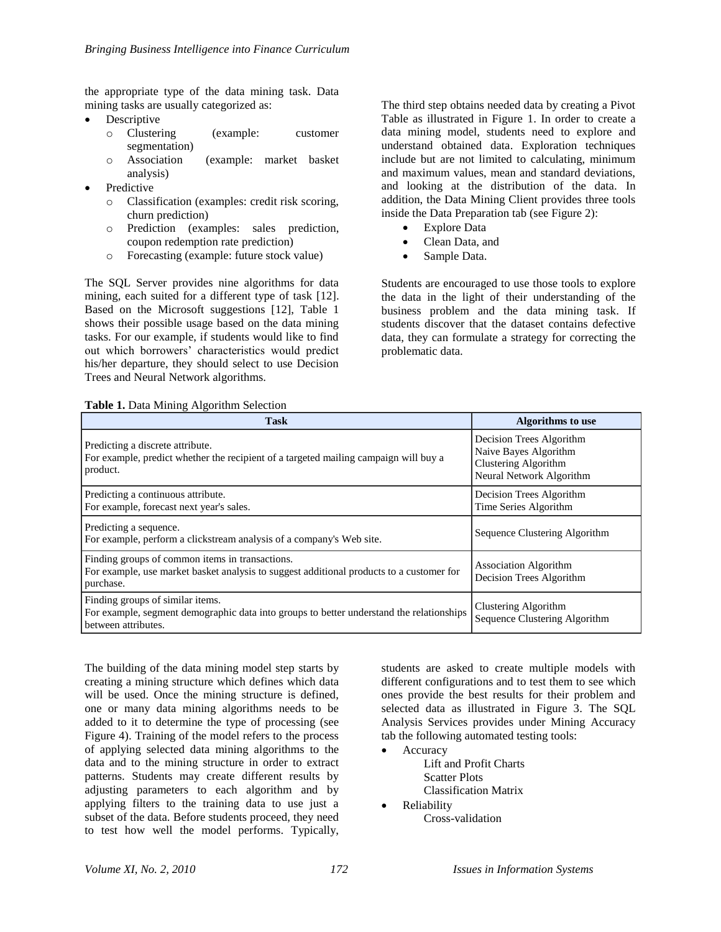the appropriate type of the data mining task. Data mining tasks are usually categorized as:

- Descriptive
	- o Clustering (example: customer segmentation)
	- o Association (example: market basket analysis)
- Predictive
	- o Classification (examples: credit risk scoring, churn prediction)
	- o Prediction (examples: sales prediction, coupon redemption rate prediction)
	- o Forecasting (example: future stock value)

The SQL Server provides nine algorithms for data mining, each suited for a different type of task [12]. Based on the Microsoft suggestions [12], Table 1 shows their possible usage based on the data mining tasks. For our example, if students would like to find out which borrowers' characteristics would predict his/her departure, they should select to use Decision Trees and Neural Network algorithms.

The third step obtains needed data by creating a Pivot Table as illustrated in Figure 1. In order to create a data mining model, students need to explore and understand obtained data. Exploration techniques include but are not limited to calculating, minimum and maximum values, mean and standard deviations, and looking at the distribution of the data. In addition, the Data Mining Client provides three tools inside the Data Preparation tab (see Figure 2):

- Explore Data
- Clean Data, and
- Sample Data.

Students are encouraged to use those tools to explore the data in the light of their understanding of the business problem and the data mining task. If students discover that the dataset contains defective data, they can formulate a strategy for correcting the problematic data.

|  | Table 1. Data Mining Algorithm Selection |  |
|--|------------------------------------------|--|
|  |                                          |  |

| <b>Task</b>                                                                                                                                              | <b>Algorithms</b> to use                                                                              |  |
|----------------------------------------------------------------------------------------------------------------------------------------------------------|-------------------------------------------------------------------------------------------------------|--|
| Predicting a discrete attribute.<br>For example, predict whether the recipient of a targeted mailing campaign will buy a<br>product.                     | Decision Trees Algorithm<br>Naive Bayes Algorithm<br>Clustering Algorithm<br>Neural Network Algorithm |  |
| Predicting a continuous attribute.<br>For example, forecast next year's sales.                                                                           | Decision Trees Algorithm<br>Time Series Algorithm                                                     |  |
| Predicting a sequence.<br>For example, perform a clickstream analysis of a company's Web site.                                                           | Sequence Clustering Algorithm                                                                         |  |
| Finding groups of common items in transactions.<br>For example, use market basket analysis to suggest additional products to a customer for<br>purchase. | <b>Association Algorithm</b><br>Decision Trees Algorithm                                              |  |
| Finding groups of similar items.<br>For example, segment demographic data into groups to better understand the relationships<br>between attributes.      | Clustering Algorithm<br>Sequence Clustering Algorithm                                                 |  |

The building of the data mining model step starts by creating a mining structure which defines which data will be used. Once the mining structure is defined, one or many data mining algorithms needs to be added to it to determine the type of processing (see Figure 4). Training of the model refers to the process of applying selected data mining algorithms to the data and to the mining structure in order to extract patterns. Students may create different results by adjusting parameters to each algorithm and by applying filters to the training data to use just a subset of the data. Before students proceed, they need to test how well the model performs. Typically,

students are asked to create multiple models with different configurations and to test them to see which ones provide the best results for their problem and selected data as illustrated in Figure 3. The SQL Analysis Services provides under Mining Accuracy tab the following automated testing tools:

 Accuracy Lift and Profit Charts Scatter Plots Classification Matrix

Reliability

Cross-validation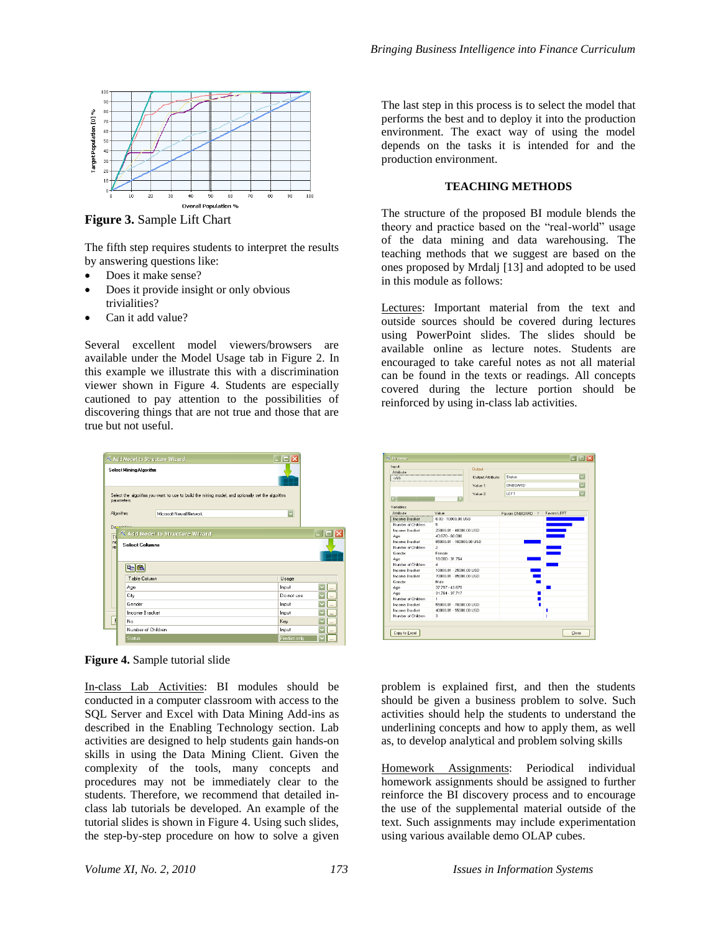

**Figure 3.** Sample Lift Chart

The fifth step requires students to interpret the results by answering questions like:

- Does it make sense?
- Does it provide insight or only obvious trivialities?
- Can it add value?

Several excellent model viewers/browsers are available under the Model Usage tab in Figure 2. In this example we illustrate this with a discrimination viewer shown in Figure 4. Students are especially cautioned to pay attention to the possibilities of discovering things that are not true and those that are true but not useful.

|    |                                    | K Add Model to Structure Wizard |                                                                                                  | m            |                      |  |  |
|----|------------------------------------|---------------------------------|--------------------------------------------------------------------------------------------------|--------------|----------------------|--|--|
|    |                                    | Select Mining Algorithm         |                                                                                                  |              |                      |  |  |
|    | parameters.                        |                                 | Select the algorithm you want to use to build the mining model, and optionally set the algorithm |              |                      |  |  |
|    | Algorithm:                         |                                 | Microsoft Neural Network                                                                         |              |                      |  |  |
|    | <b>Department</b>                  |                                 |                                                                                                  |              |                      |  |  |
| TH |                                    |                                 | $\triangle$ Add Model to Structure Wizard                                                        |              |                      |  |  |
|    | nd<br><b>Select Columns</b><br>rel |                                 |                                                                                                  |              |                      |  |  |
|    |                                    |                                 |                                                                                                  |              |                      |  |  |
|    |                                    |                                 |                                                                                                  |              |                      |  |  |
|    |                                    | Table Column                    |                                                                                                  | Usage        |                      |  |  |
|    |                                    | Age                             |                                                                                                  | Input        |                      |  |  |
|    |                                    | City                            |                                                                                                  | Do not use   |                      |  |  |
|    |                                    | Gender                          |                                                                                                  | Input        | $\cdots$             |  |  |
|    |                                    | <b>Income Bracket</b>           |                                                                                                  | Input        | $\ddotsc$            |  |  |
|    |                                    | No                              |                                                                                                  | Kev          | $\ddot{\phantom{a}}$ |  |  |
|    |                                    | Number of Children              |                                                                                                  | Input        | $\cdots$             |  |  |
|    |                                    | Status                          |                                                                                                  | Predict only | ă.                   |  |  |



In-class Lab Activities: BI modules should be conducted in a computer classroom with access to the SQL Server and Excel with Data Mining Add-ins as described in the Enabling Technology section. Lab activities are designed to help students gain hands-on skills in using the Data Mining Client. Given the complexity of the tools, many concepts and procedures may not be immediately clear to the students. Therefore, we recommend that detailed inclass lab tutorials be developed. An example of the tutorial slides is shown in Figure 4. Using such slides, the step-by-step procedure on how to solve a given

The last step in this process is to select the model that performs the best and to deploy it into the production environment. The exact way of using the model depends on the tasks it is intended for and the production environment.

### **TEACHING METHODS**

The structure of the proposed BI module blends the theory and practice based on the "real-world" usage of the data mining and data warehousing. The teaching methods that we suggest are based on the ones proposed by Mrdalj [13] and adopted to be used in this module as follows:

Lectures: Important material from the text and outside sources should be covered during lectures using PowerPoint slides. The slides should be available online as lecture notes. Students are encouraged to take careful notes as not all material can be found in the texts or readings. All concepts covered during the lecture portion should be reinforced by using in-class lab activities.



problem is explained first, and then the students should be given a business problem to solve. Such activities should help the students to understand the underlining concepts and how to apply them, as well as, to develop analytical and problem solving skills

Homework Assignments: Periodical individual homework assignments should be assigned to further reinforce the BI discovery process and to encourage the use of the supplemental material outside of the text. Such assignments may include experimentation using various available demo OLAP cubes.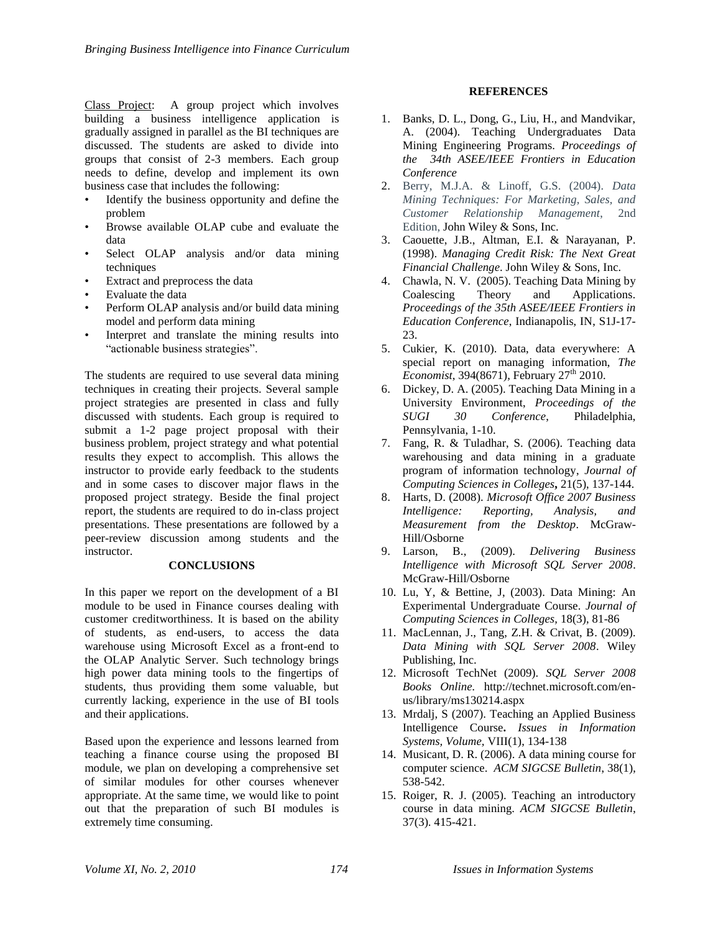Class Project: A group project which involves building a business intelligence application is gradually assigned in parallel as the BI techniques are discussed. The students are asked to divide into groups that consist of 2-3 members. Each group needs to define, develop and implement its own business case that includes the following:

- Identify the business opportunity and define the problem
- Browse available OLAP cube and evaluate the data
- Select OLAP analysis and/or data mining techniques
- Extract and preprocess the data
- Evaluate the data
- Perform OLAP analysis and/or build data mining model and perform data mining
- Interpret and translate the mining results into "actionable business strategies".

The students are required to use several data mining techniques in creating their projects. Several sample project strategies are presented in class and fully discussed with students. Each group is required to submit a 1-2 page project proposal with their business problem, project strategy and what potential results they expect to accomplish. This allows the instructor to provide early feedback to the students and in some cases to discover major flaws in the proposed project strategy. Beside the final project report, the students are required to do in-class project presentations. These presentations are followed by a peer-review discussion among students and the instructor.

## **CONCLUSIONS**

In this paper we report on the development of a BI module to be used in Finance courses dealing with customer creditworthiness. It is based on the ability of students, as end-users, to access the data warehouse using Microsoft Excel as a front-end to the OLAP Analytic Server. Such technology brings high power data mining tools to the fingertips of students, thus providing them some valuable, but currently lacking, experience in the use of BI tools and their applications.

Based upon the experience and lessons learned from teaching a finance course using the proposed BI module, we plan on developing a comprehensive set of similar modules for other courses whenever appropriate. At the same time, we would like to point out that the preparation of such BI modules is extremely time consuming.

## **REFERENCES**

- 1. Banks, D. L., Dong, G., Liu, H., and Mandvikar, A. (2004). Teaching Undergraduates Data Mining Engineering Programs. *Proceedings of the 34th ASEE/IEEE Frontiers in Education Conference*
- 2. Berry, M.J.A. & Linoff, G.S. (2004). *Data Mining Techniques: For Marketing, Sales, and Customer Relationship Management*, 2nd Edition, John Wiley & Sons, Inc.
- 3. Caouette, J.B., Altman, E.I. & Narayanan, P. (1998). *Managing Credit Risk: The Next Great Financial Challenge*. John Wiley & Sons, Inc.
- 4. Chawla, N. V. (2005). Teaching Data Mining by Coalescing Theory and Applications. *Proceedings of the 35th ASEE/IEEE Frontiers in Education Conference*, Indianapolis, IN, S1J-17-  $23.$
- 5. Cukier, K. (2010). Data, data everywhere: A special report on managing information, *The Economist*, 394(8671), February 27<sup>th</sup> 2010.
- 6. Dickey, D. A. (2005). Teaching Data Mining in a University Environment, *Proceedings of the SUGI 30 Conference*, Philadelphia, Pennsylvania, 1-10.
- 7. Fang, R. & Tuladhar, S. (2006). Teaching data warehousing and data mining in a graduate program of information technology, *Journal of Computing Sciences in Colleges***,** 21(5), 137-144.
- 8. Harts, D. (2008). *Microsoft Office 2007 Business Intelligence: Reporting, Analysis, and Measurement from the Desktop*. McGraw-Hill/Osborne
- 9. Larson, B., (2009). *Delivering Business Intelligence with Microsoft SQL Server 2008*. McGraw-Hill/Osborne
- 10. Lu, Y, & Bettine, J, (2003). Data Mining: An Experimental Undergraduate Course. *Journal of Computing Sciences in Colleges,* 18(3), 81-86
- 11. MacLennan, J., Tang, Z.H. & Crivat, B. (2009). *Data Mining with SQL Server 2008*. Wiley Publishing, Inc.
- 12. Microsoft TechNet (2009). *SQL Server 2008 Books Online.* http://technet.microsoft.com/enus/library/ms130214.aspx
- 13. Mrdalj, S (2007). Teaching an Applied Business Intelligence Course**.** *Issues in Information Systems, Volume,* VIII(1), 134-138
- 14. Musicant, D. R. (2006). A data mining course for computer science. *ACM SIGCSE Bulletin*, 38(1), 538-542.
- 15. Roiger, R. J. (2005). Teaching an introductory course in data mining. *ACM SIGCSE Bulletin*, 37(3). 415-421.